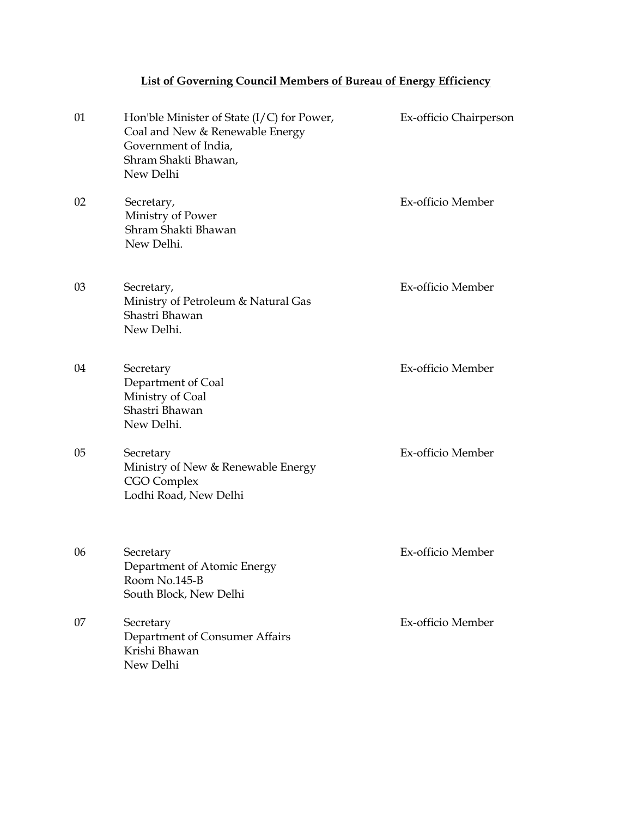## **List of Governing Council Members of Bureau of Energy Efficiency**

| 01 | Hon'ble Minister of State $(I/C)$ for Power,<br>Coal and New & Renewable Energy<br>Government of India,<br>Shram Shakti Bhawan,<br>New Delhi | Ex-officio Chairperson |
|----|----------------------------------------------------------------------------------------------------------------------------------------------|------------------------|
| 02 | Secretary,<br>Ministry of Power<br>Shram Shakti Bhawan<br>New Delhi.                                                                         | Ex-officio Member      |
| 03 | Secretary,<br>Ministry of Petroleum & Natural Gas<br>Shastri Bhawan<br>New Delhi.                                                            | Ex-officio Member      |
| 04 | Secretary<br>Department of Coal<br>Ministry of Coal<br>Shastri Bhawan<br>New Delhi.                                                          | Ex-officio Member      |
| 05 | Secretary<br>Ministry of New & Renewable Energy<br>CGO Complex<br>Lodhi Road, New Delhi                                                      | Ex-officio Member      |
| 06 | Secretary<br>Department of Atomic Energy<br>Room No.145-B<br>South Block, New Delhi                                                          | Ex-officio Member      |
| 07 | Secretary<br>Department of Consumer Affairs<br>Krishi Bhawan<br>New Delhi                                                                    | Ex-officio Member      |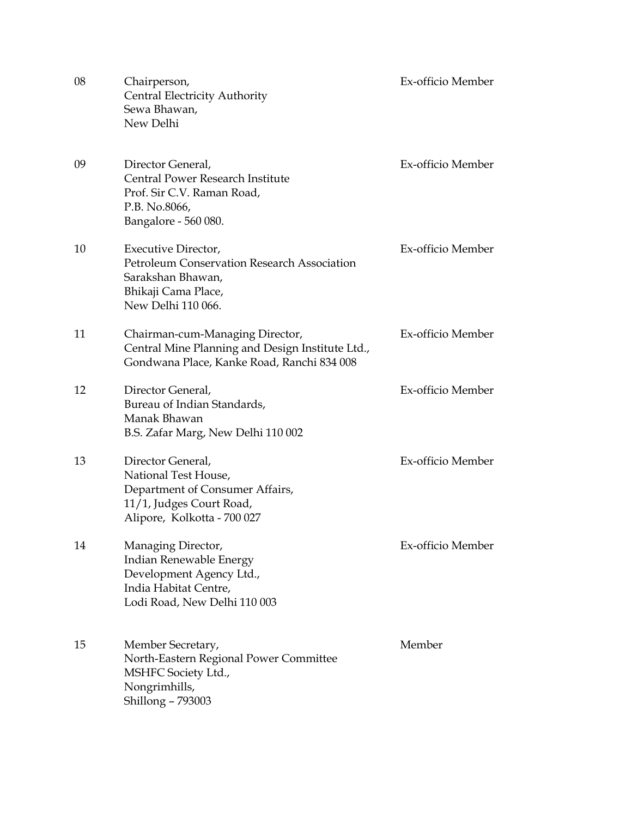| 08 | Chairperson,<br><b>Central Electricity Authority</b><br>Sewa Bhawan,<br>New Delhi                                                       | Ex-officio Member |
|----|-----------------------------------------------------------------------------------------------------------------------------------------|-------------------|
| 09 | Director General,<br>Central Power Research Institute<br>Prof. Sir C.V. Raman Road,<br>P.B. No.8066,<br>Bangalore - 560 080.            | Ex-officio Member |
| 10 | Executive Director,<br>Petroleum Conservation Research Association<br>Sarakshan Bhawan.<br>Bhikaji Cama Place,<br>New Delhi 110 066.    | Ex-officio Member |
| 11 | Chairman-cum-Managing Director,<br>Central Mine Planning and Design Institute Ltd.,<br>Gondwana Place, Kanke Road, Ranchi 834 008       | Ex-officio Member |
| 12 | Director General,<br>Bureau of Indian Standards,<br>Manak Bhawan<br>B.S. Zafar Marg, New Delhi 110 002                                  | Ex-officio Member |
| 13 | Director General,<br>National Test House,<br>Department of Consumer Affairs,<br>11/1, Judges Court Road,<br>Alipore, Kolkotta - 700 027 | Ex-officio Member |
| 14 | Managing Director,<br>Indian Renewable Energy<br>Development Agency Ltd.,<br>India Habitat Centre,<br>Lodi Road, New Delhi 110 003      | Ex-officio Member |
| 15 | Member Secretary,<br>North-Eastern Regional Power Committee<br>MSHFC Society Ltd.,<br>Nongrimhills,<br>Shillong - 793003                | Member            |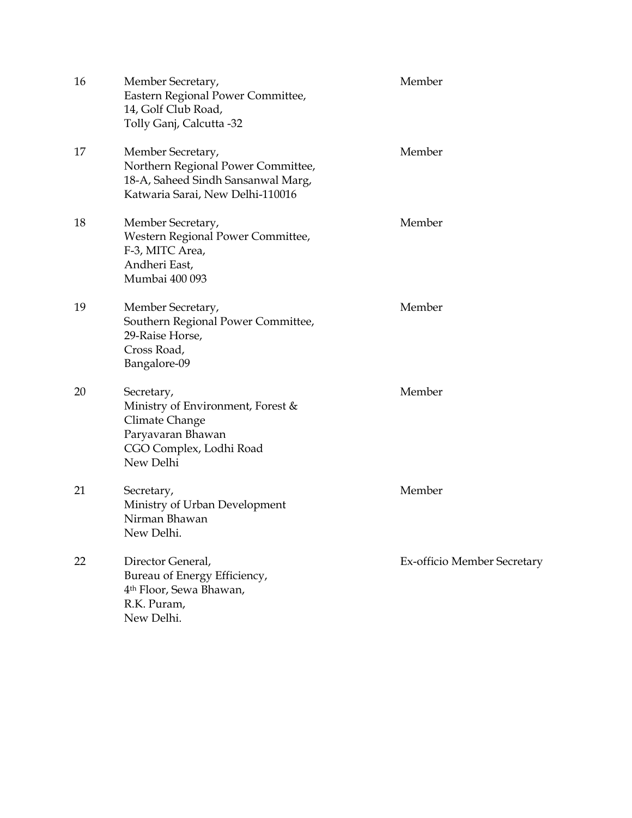| 16 | Member Secretary,<br>Eastern Regional Power Committee,<br>14, Golf Club Road,<br>Tolly Ganj, Calcutta -32                         | Member                      |
|----|-----------------------------------------------------------------------------------------------------------------------------------|-----------------------------|
| 17 | Member Secretary,<br>Northern Regional Power Committee,<br>18-A, Saheed Sindh Sansanwal Marg,<br>Katwaria Sarai, New Delhi-110016 | Member                      |
| 18 | Member Secretary,<br>Western Regional Power Committee,<br>F-3, MITC Area,<br>Andheri East,<br>Mumbai 400 093                      | Member                      |
| 19 | Member Secretary,<br>Southern Regional Power Committee,<br>29-Raise Horse,<br>Cross Road,<br>Bangalore-09                         | Member                      |
| 20 | Secretary,<br>Ministry of Environment, Forest &<br>Climate Change<br>Paryavaran Bhawan<br>CGO Complex, Lodhi Road<br>New Delhi    | Member                      |
| 21 | Secretary,<br>Ministry of Urban Development<br>Nirman Bhawan<br>New Delhi.                                                        | Member                      |
| 22 | Director General,<br>Bureau of Energy Efficiency,<br>4 <sup>th</sup> Floor, Sewa Bhawan,<br>R.K. Puram,<br>New Delhi.             | Ex-officio Member Secretary |